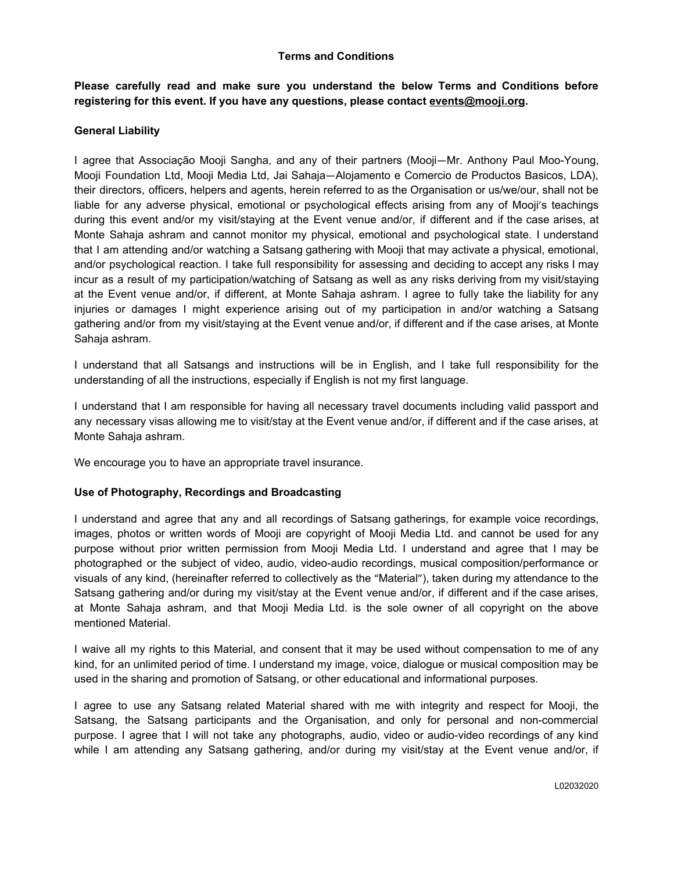## **Terms and Conditions**

**Please carefully read and make sure you understand the below Terms and Conditions before registering for this event. If you have any questions, please contact events[@mooji.org](mailto:sangha@mooji.org).**

# **General Liability**

I agree that Associação Mooji Sangha, and any of their partners (Mooji—Mr. Anthony Paul Moo-Young, Mooji Foundation Ltd, Mooji Media Ltd, Jai Sahaja—Alojamento e Comercio de Productos Basicos, LDA), their directors, officers, helpers and agents, herein referred to as the Organisation or us/we/our, shall not be liable for any adverse physical, emotional or psychological effects arising from any of Mooji's teachings during this event and/or my visit/staying at the Event venue and/or, if different and if the case arises, at Monte Sahaja ashram and cannot monitor my physical, emotional and psychological state. I understand that I am attending and/or watching a Satsang gathering with Mooji that may activate a physical, emotional, and/or psychological reaction. I take full responsibility for assessing and deciding to accept any risks I may incur as a result of my participation/watching of Satsang as well as any risks deriving from my visit/staying at the Event venue and/or, if different, at Monte Sahaja ashram. I agree to fully take the liability for any injuries or damages I might experience arising out of my participation in and/or watching a Satsang gathering and/or from my visit/staying at the Event venue and/or, if different and if the case arises, at Monte Sahaja ashram.

I understand that all Satsangs and instructions will be in English, and I take full responsibility for the understanding of all the instructions, especially if English is not my first language.

I understand that I am responsible for having all necessary travel documents including valid passport and any necessary visas allowing me to visit/stay at the Event venue and/or, if different and if the case arises, at Monte Sahaja ashram.

We encourage you to have an appropriate travel insurance.

### **Use of Photography, Recordings and Broadcasting**

I understand and agree that any and all recordings of Satsang gatherings, for example voice recordings, images, photos or written words of Mooji are copyright of Mooji Media Ltd. and cannot be used for any purpose without prior written permission from Mooji Media Ltd. I understand and agree that I may be photographed or the subject of video, audio, video-audio recordings, musical composition/performance or visuals of any kind, (hereinafter referred to collectively as the "Material"), taken during my attendance to the Satsang gathering and/or during my visit/stay at the Event venue and/or, if different and if the case arises, at Monte Sahaja ashram, and that Mooji Media Ltd. is the sole owner of all copyright on the above mentioned Material.

I waive all my rights to this Material, and consent that it may be used without compensation to me of any kind, for an unlimited period of time. I understand my image, voice, dialogue or musical composition may be used in the sharing and promotion of Satsang, or other educational and informational purposes.

I agree to use any Satsang related Material shared with me with integrity and respect for Mooji, the Satsang, the Satsang participants and the Organisation, and only for personal and non-commercial purpose. I agree that I will not take any photographs, audio, video or audio-video recordings of any kind while I am attending any Satsang gathering, and/or during my visit/stay at the Event venue and/or, if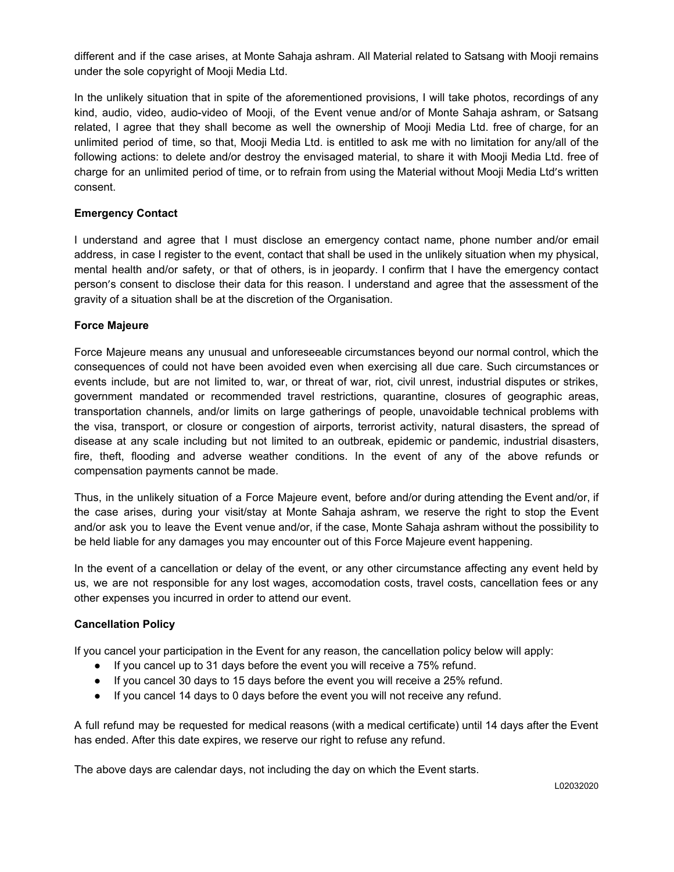different and if the case arises, at Monte Sahaja ashram. All Material related to Satsang with Mooji remains under the sole copyright of Mooji Media Ltd.

In the unlikely situation that in spite of the aforementioned provisions, I will take photos, recordings of any kind, audio, video, audio-video of Mooji, of the Event venue and/or of Monte Sahaja ashram, or Satsang related, I agree that they shall become as well the ownership of Mooji Media Ltd. free of charge, for an unlimited period of time, so that, Mooji Media Ltd. is entitled to ask me with no limitation for any/all of the following actions: to delete and/or destroy the envisaged material, to share it with Mooji Media Ltd. free of charge for an unlimited period of time, or to refrain from using the Material without Mooji Media Ltd's written consent.

# **Emergency Contact**

I understand and agree that I must disclose an emergency contact name, phone number and/or email address, in case I register to the event, contact that shall be used in the unlikely situation when my physical, mental health and/or safety, or that of others, is in jeopardy. I confirm that I have the emergency contact person's consent to disclose their data for this reason. I understand and agree that the assessment of the gravity of a situation shall be at the discretion of the Organisation.

# **Force Majeure**

Force Majeure means any unusual and unforeseeable circumstances beyond our normal control, which the consequences of could not have been avoided even when exercising all due care. Such circumstances or events include, but are not limited to, war, or threat of war, riot, civil unrest, industrial disputes or strikes, government mandated or recommended travel restrictions, quarantine, closures of geographic areas, transportation channels, and/or limits on large gatherings of people, unavoidable technical problems with the visa, transport, or closure or congestion of airports, terrorist activity, natural disasters, the spread of disease at any scale including but not limited to an outbreak, epidemic or pandemic, industrial disasters, fire, theft, flooding and adverse weather conditions. In the event of any of the above refunds or compensation payments cannot be made.

Thus, in the unlikely situation of a Force Majeure event, before and/or during attending the Event and/or, if the case arises, during your visit/stay at Monte Sahaja ashram, we reserve the right to stop the Event and/or ask you to leave the Event venue and/or, if the case, Monte Sahaja ashram without the possibility to be held liable for any damages you may encounter out of this Force Majeure event happening.

In the event of a cancellation or delay of the event, or any other circumstance affecting any event held by us, we are not responsible for any lost wages, accomodation costs, travel costs, cancellation fees or any other expenses you incurred in order to attend our event.

### **Cancellation Policy**

If you cancel your participation in the Event for any reason, the cancellation policy below will apply:

- If you cancel up to 31 days before the event you will receive a 75% refund.
- If you cancel 30 days to 15 days before the event you will receive a 25% refund.
- If you cancel 14 days to 0 days before the event you will not receive any refund.

A full refund may be requested for medical reasons (with a medical certificate) until 14 days after the Event has ended. After this date expires, we reserve our right to refuse any refund.

The above days are calendar days, not including the day on which the Event starts.